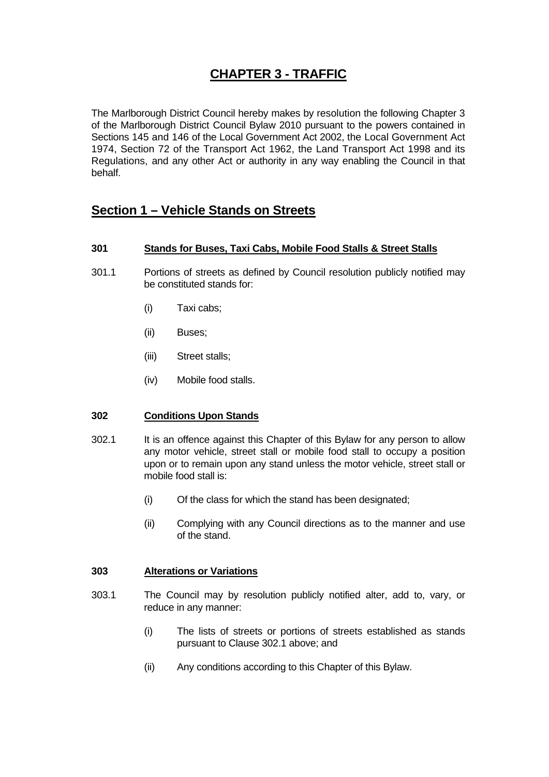# **CHAPTER 3 - TRAFFIC**

The Marlborough District Council hereby makes by resolution the following Chapter 3 of the Marlborough District Council Bylaw 2010 pursuant to the powers contained in Sections 145 and 146 of the Local Government Act 2002, the Local Government Act 1974, Section 72 of the Transport Act 1962, the Land Transport Act 1998 and its Regulations, and any other Act or authority in any way enabling the Council in that behalf.

# **Section 1 – Vehicle Stands on Streets**

## **301 Stands for Buses, Taxi Cabs, Mobile Food Stalls & Street Stalls**

- 301.1 Portions of streets as defined by Council resolution publicly notified may be constituted stands for:
	- (i) Taxi cabs;
	- (ii) Buses;
	- (iii) Street stalls;
	- (iv) Mobile food stalls.

#### **302 Conditions Upon Stands**

- 302.1 It is an offence against this Chapter of this Bylaw for any person to allow any motor vehicle, street stall or mobile food stall to occupy a position upon or to remain upon any stand unless the motor vehicle, street stall or mobile food stall is:
	- (i) Of the class for which the stand has been designated;
	- (ii) Complying with any Council directions as to the manner and use of the stand.

## **303 Alterations or Variations**

- 303.1 The Council may by resolution publicly notified alter, add to, vary, or reduce in any manner:
	- (i) The lists of streets or portions of streets established as stands pursuant to Clause 302.1 above; and
	- (ii) Any conditions according to this Chapter of this Bylaw.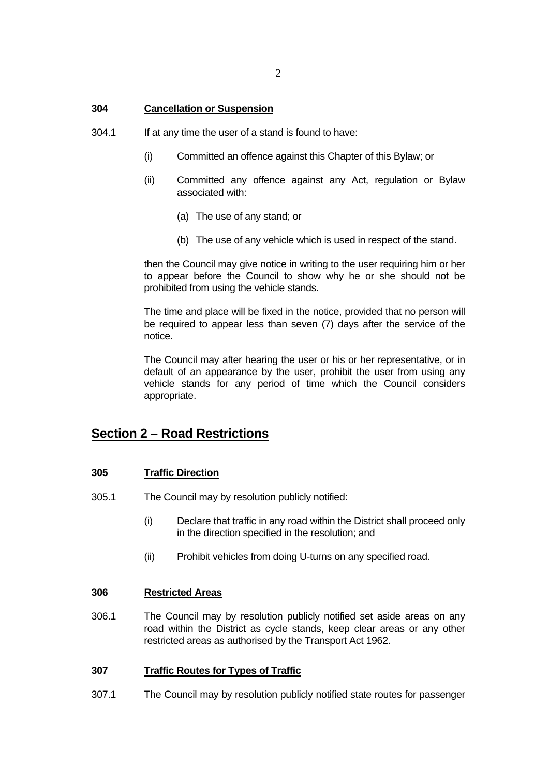#### **304 Cancellation or Suspension**

- 304.1 If at any time the user of a stand is found to have:
	- (i) Committed an offence against this Chapter of this Bylaw; or
	- (ii) Committed any offence against any Act, regulation or Bylaw associated with:
		- (a) The use of any stand; or
		- (b) The use of any vehicle which is used in respect of the stand.

 then the Council may give notice in writing to the user requiring him or her to appear before the Council to show why he or she should not be prohibited from using the vehicle stands.

 The time and place will be fixed in the notice, provided that no person will be required to appear less than seven (7) days after the service of the notice.

 The Council may after hearing the user or his or her representative, or in default of an appearance by the user, prohibit the user from using any vehicle stands for any period of time which the Council considers appropriate.

# **Section 2 – Road Restrictions**

## **305 Traffic Direction**

- 305.1 The Council may by resolution publicly notified:
	- (i) Declare that traffic in any road within the District shall proceed only in the direction specified in the resolution; and
	- (ii) Prohibit vehicles from doing U-turns on any specified road.

#### **306 Restricted Areas**

306.1 The Council may by resolution publicly notified set aside areas on any road within the District as cycle stands, keep clear areas or any other restricted areas as authorised by the Transport Act 1962.

#### **307 Traffic Routes for Types of Traffic**

307.1 The Council may by resolution publicly notified state routes for passenger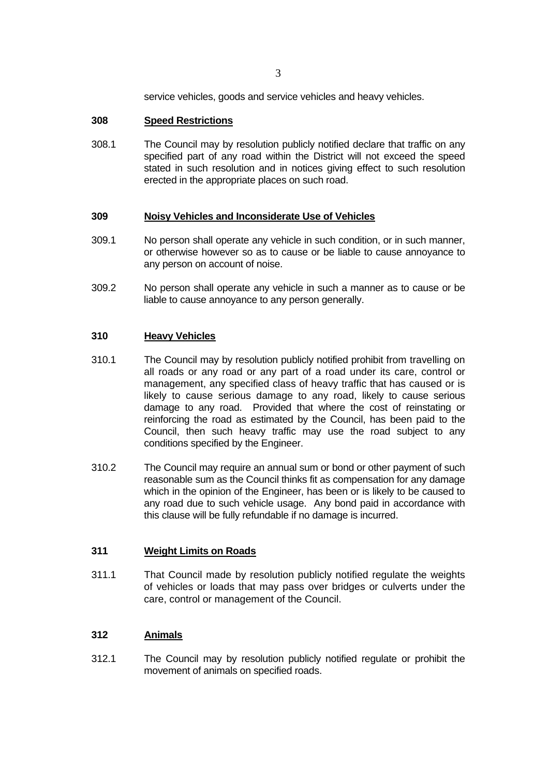service vehicles, goods and service vehicles and heavy vehicles.

#### **308 Speed Restrictions**

308.1 The Council may by resolution publicly notified declare that traffic on any specified part of any road within the District will not exceed the speed stated in such resolution and in notices giving effect to such resolution erected in the appropriate places on such road.

#### **309 Noisy Vehicles and Inconsiderate Use of Vehicles**

- 309.1 No person shall operate any vehicle in such condition, or in such manner, or otherwise however so as to cause or be liable to cause annoyance to any person on account of noise.
- 309.2 No person shall operate any vehicle in such a manner as to cause or be liable to cause annoyance to any person generally.

#### **310 Heavy Vehicles**

- 310.1 The Council may by resolution publicly notified prohibit from travelling on all roads or any road or any part of a road under its care, control or management, any specified class of heavy traffic that has caused or is likely to cause serious damage to any road, likely to cause serious damage to any road. Provided that where the cost of reinstating or reinforcing the road as estimated by the Council, has been paid to the Council, then such heavy traffic may use the road subject to any conditions specified by the Engineer.
- 310.2 The Council may require an annual sum or bond or other payment of such reasonable sum as the Council thinks fit as compensation for any damage which in the opinion of the Engineer, has been or is likely to be caused to any road due to such vehicle usage. Any bond paid in accordance with this clause will be fully refundable if no damage is incurred.

#### **311 Weight Limits on Roads**

311.1 That Council made by resolution publicly notified regulate the weights of vehicles or loads that may pass over bridges or culverts under the care, control or management of the Council.

#### **312 Animals**

312.1 The Council may by resolution publicly notified regulate or prohibit the movement of animals on specified roads.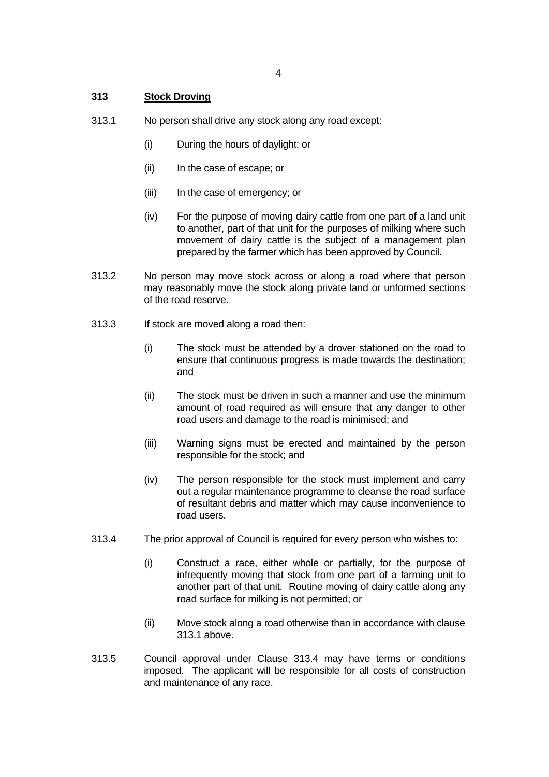#### **313 Stock Droving**

- 313.1 No person shall drive any stock along any road except:
	- (i) During the hours of daylight; or
	- (ii) In the case of escape; or
	- (iii) In the case of emergency; or
	- (iv) For the purpose of moving dairy cattle from one part of a land unit to another, part of that unit for the purposes of milking where such movement of dairy cattle is the subject of a management plan prepared by the farmer which has been approved by Council.
- 313.2 No person may move stock across or along a road where that person may reasonably move the stock along private land or unformed sections of the road reserve.
- 313.3 If stock are moved along a road then:
	- (i) The stock must be attended by a drover stationed on the road to ensure that continuous progress is made towards the destination; and
	- (ii) The stock must be driven in such a manner and use the minimum amount of road required as will ensure that any danger to other road users and damage to the road is minimised; and
	- (iii) Warning signs must be erected and maintained by the person responsible for the stock; and
	- (iv) The person responsible for the stock must implement and carry out a regular maintenance programme to cleanse the road surface of resultant debris and matter which may cause inconvenience to road users.
- 313.4 The prior approval of Council is required for every person who wishes to:
	- (i) Construct a race, either whole or partially, for the purpose of infrequently moving that stock from one part of a farming unit to another part of that unit. Routine moving of dairy cattle along any road surface for milking is not permitted; or
	- (ii) Move stock along a road otherwise than in accordance with clause 313.1 above.
- 313.5 Council approval under Clause 313.4 may have terms or conditions imposed. The applicant will be responsible for all costs of construction and maintenance of any race.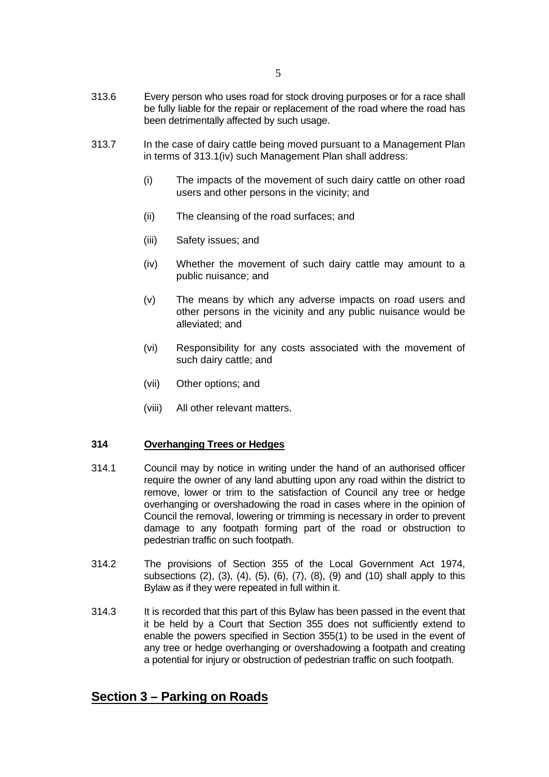- 313.6 Every person who uses road for stock droving purposes or for a race shall be fully liable for the repair or replacement of the road where the road has been detrimentally affected by such usage.
- 313.7 In the case of dairy cattle being moved pursuant to a Management Plan in terms of 313.1(iv) such Management Plan shall address:
	- (i) The impacts of the movement of such dairy cattle on other road users and other persons in the vicinity; and
	- (ii) The cleansing of the road surfaces; and
	- (iii) Safety issues; and
	- (iv) Whether the movement of such dairy cattle may amount to a public nuisance; and
	- (v) The means by which any adverse impacts on road users and other persons in the vicinity and any public nuisance would be alleviated; and
	- (vi) Responsibility for any costs associated with the movement of such dairy cattle; and
	- (vii) Other options; and
	- (viii) All other relevant matters.

#### **314 Overhanging Trees or Hedges**

- 314.1 Council may by notice in writing under the hand of an authorised officer require the owner of any land abutting upon any road within the district to remove, lower or trim to the satisfaction of Council any tree or hedge overhanging or overshadowing the road in cases where in the opinion of Council the removal, lowering or trimming is necessary in order to prevent damage to any footpath forming part of the road or obstruction to pedestrian traffic on such footpath.
- 314.2 The provisions of Section 355 of the Local Government Act 1974, subsections (2), (3), (4), (5), (6), (7), (8), (9) and (10) shall apply to this Bylaw as if they were repeated in full within it.
- 314.3 It is recorded that this part of this Bylaw has been passed in the event that it be held by a Court that Section 355 does not sufficiently extend to enable the powers specified in Section 355(1) to be used in the event of any tree or hedge overhanging or overshadowing a footpath and creating a potential for injury or obstruction of pedestrian traffic on such footpath.

# **Section 3 – Parking on Roads**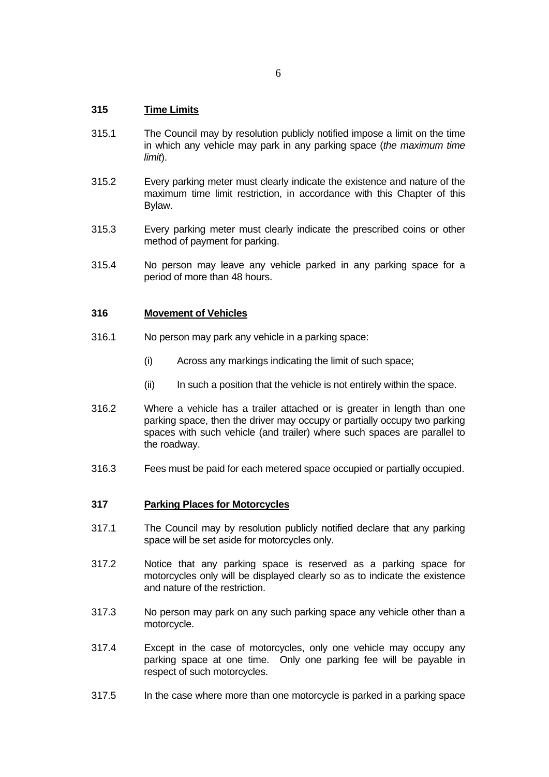## **315 Time Limits**

- 315.1 The Council may by resolution publicly notified impose a limit on the time in which any vehicle may park in any parking space (*the maximum time limit*).
- 315.2 Every parking meter must clearly indicate the existence and nature of the maximum time limit restriction, in accordance with this Chapter of this Bylaw.
- 315.3 Every parking meter must clearly indicate the prescribed coins or other method of payment for parking.
- 315.4 No person may leave any vehicle parked in any parking space for a period of more than 48 hours.

#### **316 Movement of Vehicles**

- 316.1 No person may park any vehicle in a parking space:
	- (i) Across any markings indicating the limit of such space;
	- (ii) In such a position that the vehicle is not entirely within the space.
- 316.2 Where a vehicle has a trailer attached or is greater in length than one parking space, then the driver may occupy or partially occupy two parking spaces with such vehicle (and trailer) where such spaces are parallel to the roadway.
- 316.3 Fees must be paid for each metered space occupied or partially occupied.

#### **317 Parking Places for Motorcycles**

- 317.1 The Council may by resolution publicly notified declare that any parking space will be set aside for motorcycles only.
- 317.2 Notice that any parking space is reserved as a parking space for motorcycles only will be displayed clearly so as to indicate the existence and nature of the restriction.
- 317.3 No person may park on any such parking space any vehicle other than a motorcycle.
- 317.4 Except in the case of motorcycles, only one vehicle may occupy any parking space at one time. Only one parking fee will be payable in respect of such motorcycles.
- 317.5 In the case where more than one motorcycle is parked in a parking space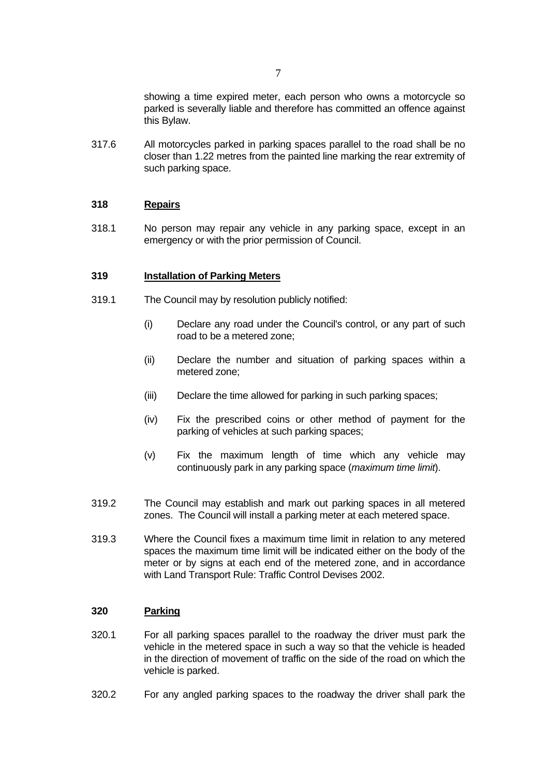showing a time expired meter, each person who owns a motorcycle so parked is severally liable and therefore has committed an offence against this Bylaw.

317.6 All motorcycles parked in parking spaces parallel to the road shall be no closer than 1.22 metres from the painted line marking the rear extremity of such parking space.

#### **318 Repairs**

318.1 No person may repair any vehicle in any parking space, except in an emergency or with the prior permission of Council.

#### **319 Installation of Parking Meters**

- 319.1 The Council may by resolution publicly notified:
	- (i) Declare any road under the Council's control, or any part of such road to be a metered zone;
	- (ii) Declare the number and situation of parking spaces within a metered zone;
	- (iii) Declare the time allowed for parking in such parking spaces;
	- (iv) Fix the prescribed coins or other method of payment for the parking of vehicles at such parking spaces;
	- (v) Fix the maximum length of time which any vehicle may continuously park in any parking space (*maximum time limit*).
- 319.2 The Council may establish and mark out parking spaces in all metered zones. The Council will install a parking meter at each metered space.
- 319.3 Where the Council fixes a maximum time limit in relation to any metered spaces the maximum time limit will be indicated either on the body of the meter or by signs at each end of the metered zone, and in accordance with Land Transport Rule: Traffic Control Devises 2002.

# **320 Parking**

- 320.1 For all parking spaces parallel to the roadway the driver must park the vehicle in the metered space in such a way so that the vehicle is headed in the direction of movement of traffic on the side of the road on which the vehicle is parked.
- 320.2 For any angled parking spaces to the roadway the driver shall park the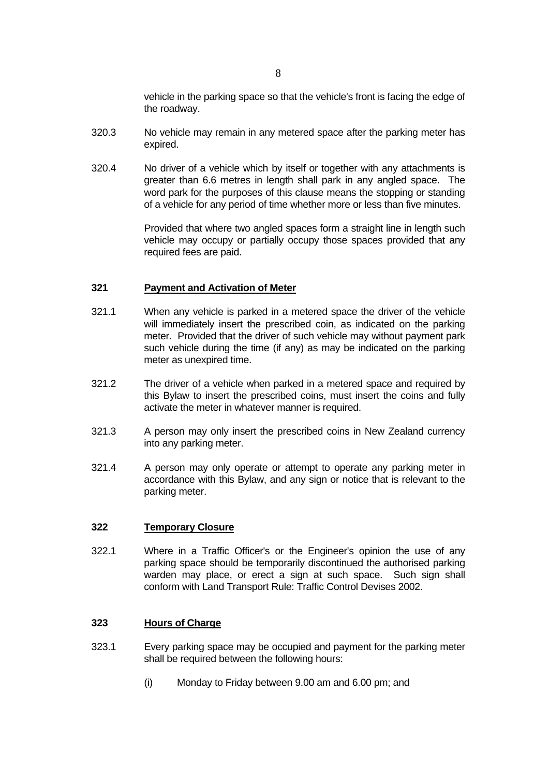vehicle in the parking space so that the vehicle's front is facing the edge of the roadway.

- 320.3 No vehicle may remain in any metered space after the parking meter has expired.
- 320.4 No driver of a vehicle which by itself or together with any attachments is greater than 6.6 metres in length shall park in any angled space. The word park for the purposes of this clause means the stopping or standing of a vehicle for any period of time whether more or less than five minutes.

 Provided that where two angled spaces form a straight line in length such vehicle may occupy or partially occupy those spaces provided that any required fees are paid.

## **321 Payment and Activation of Meter**

- 321.1 When any vehicle is parked in a metered space the driver of the vehicle will immediately insert the prescribed coin, as indicated on the parking meter. Provided that the driver of such vehicle may without payment park such vehicle during the time (if any) as may be indicated on the parking meter as unexpired time.
- 321.2 The driver of a vehicle when parked in a metered space and required by this Bylaw to insert the prescribed coins, must insert the coins and fully activate the meter in whatever manner is required.
- 321.3 A person may only insert the prescribed coins in New Zealand currency into any parking meter.
- 321.4 A person may only operate or attempt to operate any parking meter in accordance with this Bylaw, and any sign or notice that is relevant to the parking meter.

#### **322 Temporary Closure**

322.1 Where in a Traffic Officer's or the Engineer's opinion the use of any parking space should be temporarily discontinued the authorised parking warden may place, or erect a sign at such space. Such sign shall conform with Land Transport Rule: Traffic Control Devises 2002.

#### **323 Hours of Charge**

- 323.1 Every parking space may be occupied and payment for the parking meter shall be required between the following hours:
	- (i) Monday to Friday between 9.00 am and 6.00 pm; and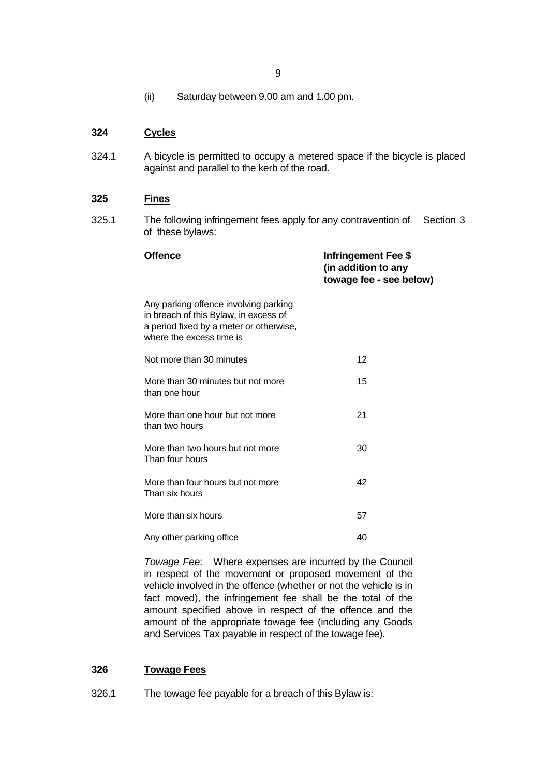(ii) Saturday between 9.00 am and 1.00 pm.

## **324 Cycles**

324.1 A bicycle is permitted to occupy a metered space if the bicycle is placed against and parallel to the kerb of the road.

## **325 Fines**

325.1 The following infringement fees apply for any contravention of Section 3 of these bylaws:

| <b>Offence</b>                                                                                                                                        | <b>Infringement Fee \$</b><br>(in addition to any<br>towage fee - see below) |
|-------------------------------------------------------------------------------------------------------------------------------------------------------|------------------------------------------------------------------------------|
| Any parking offence involving parking<br>in breach of this Bylaw, in excess of<br>a period fixed by a meter or otherwise,<br>where the excess time is |                                                                              |
| Not more than 30 minutes                                                                                                                              | 12                                                                           |
| More than 30 minutes but not more<br>than one hour                                                                                                    | 15                                                                           |
| More than one hour but not more<br>than two hours                                                                                                     | 21                                                                           |
| More than two hours but not more<br>Than four hours                                                                                                   | 30                                                                           |
| More than four hours but not more<br>Than six hours                                                                                                   | 42                                                                           |
| More than six hours                                                                                                                                   | 57                                                                           |
| Any other parking office                                                                                                                              | 40                                                                           |

 *Towage Fee*: Where expenses are incurred by the Council in respect of the movement or proposed movement of the vehicle involved in the offence (whether or not the vehicle is in fact moved), the infringement fee shall be the total of the amount specified above in respect of the offence and the amount of the appropriate towage fee (including any Goods and Services Tax payable in respect of the towage fee).

# **326 Towage Fees**

326.1 The towage fee payable for a breach of this Bylaw is: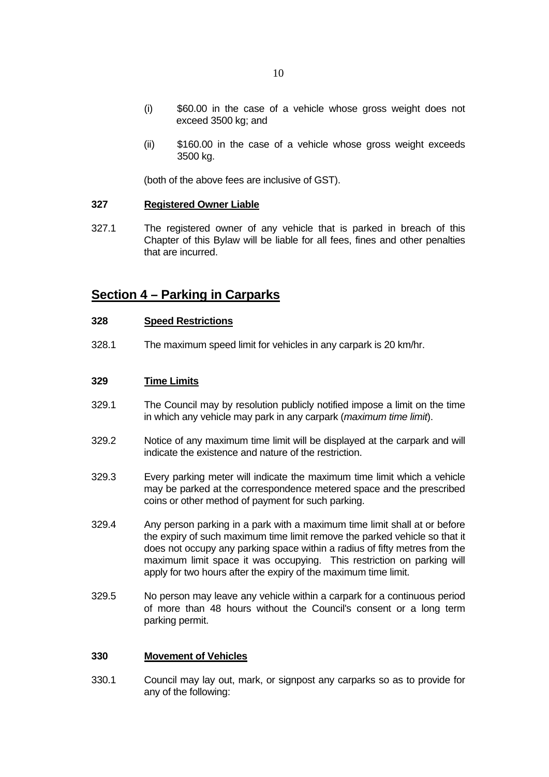- (i) \$60.00 in the case of a vehicle whose gross weight does not exceed 3500 kg; and
- (ii) \$160.00 in the case of a vehicle whose gross weight exceeds 3500 kg.

(both of the above fees are inclusive of GST).

#### **327 Registered Owner Liable**

327.1 The registered owner of any vehicle that is parked in breach of this Chapter of this Bylaw will be liable for all fees, fines and other penalties that are incurred.

# **Section 4 – Parking in Carparks**

#### **328 Speed Restrictions**

328.1 The maximum speed limit for vehicles in any carpark is 20 km/hr.

#### **329 Time Limits**

- 329.1 The Council may by resolution publicly notified impose a limit on the time in which any vehicle may park in any carpark (*maximum time limit*).
- 329.2 Notice of any maximum time limit will be displayed at the carpark and will indicate the existence and nature of the restriction.
- 329.3 Every parking meter will indicate the maximum time limit which a vehicle may be parked at the correspondence metered space and the prescribed coins or other method of payment for such parking.
- 329.4 Any person parking in a park with a maximum time limit shall at or before the expiry of such maximum time limit remove the parked vehicle so that it does not occupy any parking space within a radius of fifty metres from the maximum limit space it was occupying. This restriction on parking will apply for two hours after the expiry of the maximum time limit.
- 329.5 No person may leave any vehicle within a carpark for a continuous period of more than 48 hours without the Council's consent or a long term parking permit.

#### **330 Movement of Vehicles**

330.1 Council may lay out, mark, or signpost any carparks so as to provide for any of the following: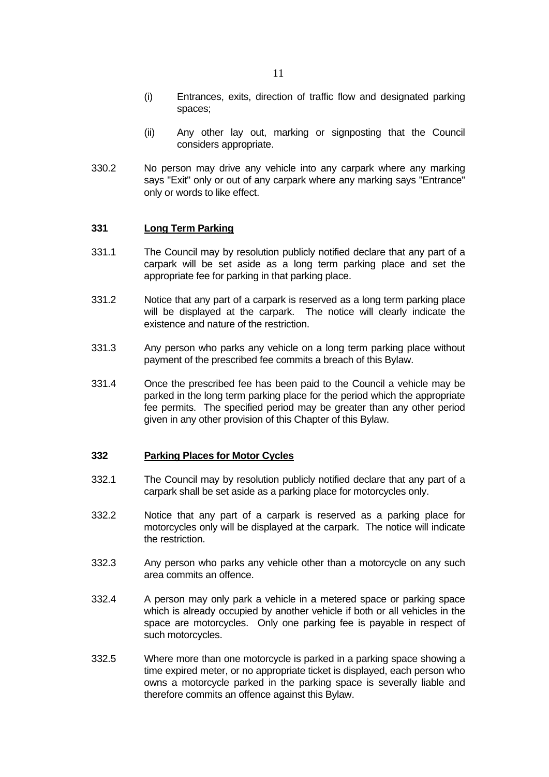- (ii) Any other lay out, marking or signposting that the Council considers appropriate.
- 330.2 No person may drive any vehicle into any carpark where any marking says "Exit" only or out of any carpark where any marking says "Entrance" only or words to like effect.

#### **331 Long Term Parking**

- 331.1 The Council may by resolution publicly notified declare that any part of a carpark will be set aside as a long term parking place and set the appropriate fee for parking in that parking place.
- 331.2 Notice that any part of a carpark is reserved as a long term parking place will be displayed at the carpark. The notice will clearly indicate the existence and nature of the restriction.
- 331.3 Any person who parks any vehicle on a long term parking place without payment of the prescribed fee commits a breach of this Bylaw.
- 331.4 Once the prescribed fee has been paid to the Council a vehicle may be parked in the long term parking place for the period which the appropriate fee permits. The specified period may be greater than any other period given in any other provision of this Chapter of this Bylaw.

#### **332 Parking Places for Motor Cycles**

- 332.1 The Council may by resolution publicly notified declare that any part of a carpark shall be set aside as a parking place for motorcycles only.
- 332.2 Notice that any part of a carpark is reserved as a parking place for motorcycles only will be displayed at the carpark. The notice will indicate the restriction.
- 332.3 Any person who parks any vehicle other than a motorcycle on any such area commits an offence.
- 332.4 A person may only park a vehicle in a metered space or parking space which is already occupied by another vehicle if both or all vehicles in the space are motorcycles. Only one parking fee is payable in respect of such motorcycles.
- 332.5 Where more than one motorcycle is parked in a parking space showing a time expired meter, or no appropriate ticket is displayed, each person who owns a motorcycle parked in the parking space is severally liable and therefore commits an offence against this Bylaw.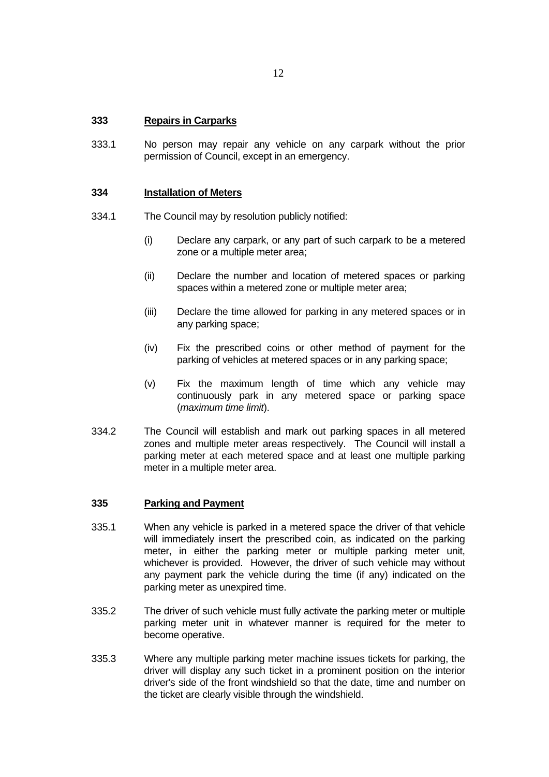#### **333 Repairs in Carparks**

333.1 No person may repair any vehicle on any carpark without the prior permission of Council, except in an emergency.

#### **334 Installation of Meters**

- 334.1 The Council may by resolution publicly notified:
	- (i) Declare any carpark, or any part of such carpark to be a metered zone or a multiple meter area;
	- (ii) Declare the number and location of metered spaces or parking spaces within a metered zone or multiple meter area;
	- (iii) Declare the time allowed for parking in any metered spaces or in any parking space;
	- (iv) Fix the prescribed coins or other method of payment for the parking of vehicles at metered spaces or in any parking space;
	- (v) Fix the maximum length of time which any vehicle may continuously park in any metered space or parking space (*maximum time limit*).
- 334.2 The Council will establish and mark out parking spaces in all metered zones and multiple meter areas respectively. The Council will install a parking meter at each metered space and at least one multiple parking meter in a multiple meter area.

#### **335 Parking and Payment**

- 335.1 When any vehicle is parked in a metered space the driver of that vehicle will immediately insert the prescribed coin, as indicated on the parking meter, in either the parking meter or multiple parking meter unit, whichever is provided. However, the driver of such vehicle may without any payment park the vehicle during the time (if any) indicated on the parking meter as unexpired time.
- 335.2 The driver of such vehicle must fully activate the parking meter or multiple parking meter unit in whatever manner is required for the meter to become operative.
- 335.3 Where any multiple parking meter machine issues tickets for parking, the driver will display any such ticket in a prominent position on the interior driver's side of the front windshield so that the date, time and number on the ticket are clearly visible through the windshield.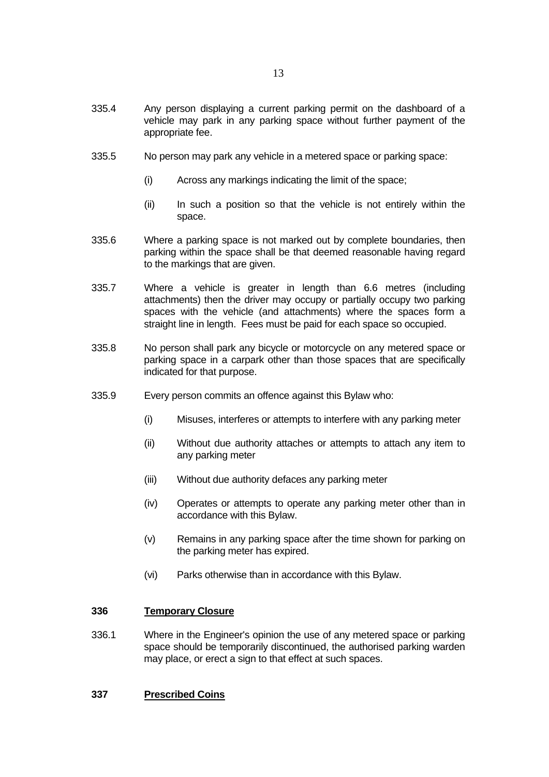- 335.5 No person may park any vehicle in a metered space or parking space:
	- (i) Across any markings indicating the limit of the space;
	- (ii) In such a position so that the vehicle is not entirely within the space.
- 335.6 Where a parking space is not marked out by complete boundaries, then parking within the space shall be that deemed reasonable having regard to the markings that are given.
- 335.7 Where a vehicle is greater in length than 6.6 metres (including attachments) then the driver may occupy or partially occupy two parking spaces with the vehicle (and attachments) where the spaces form a straight line in length. Fees must be paid for each space so occupied.
- 335.8 No person shall park any bicycle or motorcycle on any metered space or parking space in a carpark other than those spaces that are specifically indicated for that purpose.
- 335.9 Every person commits an offence against this Bylaw who:
	- (i) Misuses, interferes or attempts to interfere with any parking meter
	- (ii) Without due authority attaches or attempts to attach any item to any parking meter
	- (iii) Without due authority defaces any parking meter
	- (iv) Operates or attempts to operate any parking meter other than in accordance with this Bylaw.
	- (v) Remains in any parking space after the time shown for parking on the parking meter has expired.
	- (vi) Parks otherwise than in accordance with this Bylaw.

#### **336 Temporary Closure**

- 336.1 Where in the Engineer's opinion the use of any metered space or parking space should be temporarily discontinued, the authorised parking warden may place, or erect a sign to that effect at such spaces.
- **337 Prescribed Coins**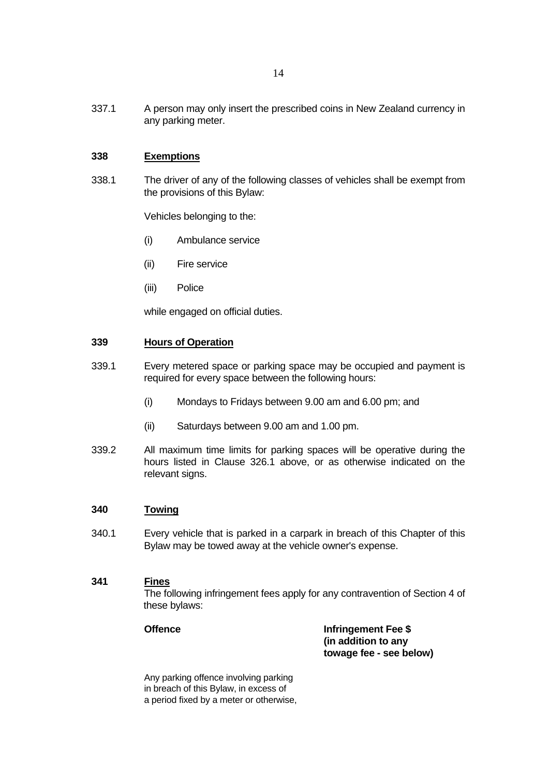337.1 A person may only insert the prescribed coins in New Zealand currency in any parking meter.

# **338 Exemptions**

338.1 The driver of any of the following classes of vehicles shall be exempt from the provisions of this Bylaw:

Vehicles belonging to the:

- (i) Ambulance service
- (ii) Fire service
- (iii) Police

while engaged on official duties.

#### **339 Hours of Operation**

- 339.1 Every metered space or parking space may be occupied and payment is required for every space between the following hours:
	- (i) Mondays to Fridays between 9.00 am and 6.00 pm; and
	- (ii) Saturdays between 9.00 am and 1.00 pm.
- 339.2 All maximum time limits for parking spaces will be operative during the hours listed in Clause 326.1 above, or as otherwise indicated on the relevant signs.

#### **340 Towing**

340.1 Every vehicle that is parked in a carpark in breach of this Chapter of this Bylaw may be towed away at the vehicle owner's expense.

### **341 Fines**

 The following infringement fees apply for any contravention of Section 4 of these bylaws:

**Offence Infringement Fee \$ (in addition to any towage fee - see below)**

 Any parking offence involving parking in breach of this Bylaw, in excess of a period fixed by a meter or otherwise,